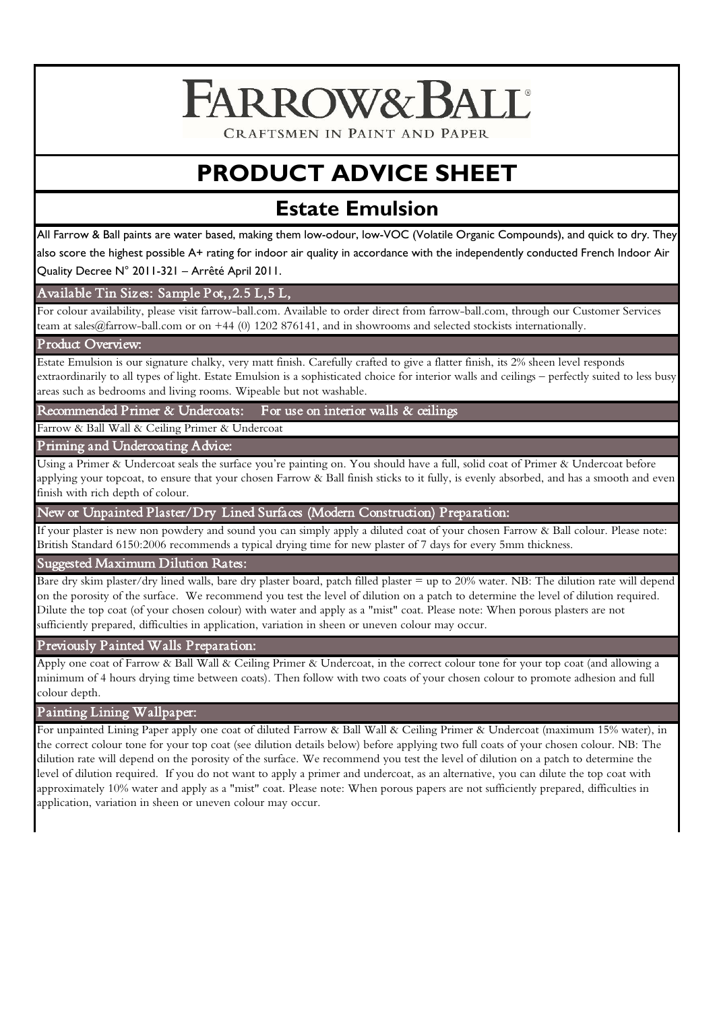# FARROW& BALL®

CRAFTSMEN IN PAINT AND PAPER

## **PRODUCT ADVICE SHEET**

### **Estate Emulsion**

All Farrow & Ball paints are water based, making them low-odour, low-VOC (Volatile Organic Compounds), and quick to dry. They also score the highest possible A+ rating for indoor air quality in accordance with the independently conducted French Indoor Air

Quality Decree N° 2011-321 – Arrêté April 2011.

#### Available Tin Sizes: Sample Pot,,2.5 L,5 L,

For colour availability, please visit farrow-ball.com. Available to order direct from farrow-ball.com, through our Customer Services team at sales@farrow-ball.com or on +44 (0) 1202 876141, and in showrooms and selected stockists internationally.

#### Product Overview:

Estate Emulsion is our signature chalky, very matt finish. Carefully crafted to give a flatter finish, its 2% sheen level responds extraordinarily to all types of light. Estate Emulsion is a sophisticated choice for interior walls and ceilings – perfectly suited to less busy areas such as bedrooms and living rooms. Wipeable but not washable.

Recommended Primer & Undercoats: For use on interior walls & ceilings

Farrow & Ball Wall & Ceiling Primer & Undercoat

#### Priming and Undercoating Advice:

Using a Primer & Undercoat seals the surface you're painting on. You should have a full, solid coat of Primer & Undercoat before applying your topcoat, to ensure that your chosen Farrow & Ball finish sticks to it fully, is evenly absorbed, and has a smooth and even finish with rich depth of colour.

New or Unpainted Plaster/Dry Lined Surfaces (Modern Construction) Preparation:

If your plaster is new non powdery and sound you can simply apply a diluted coat of your chosen Farrow & Ball colour. Please note: British Standard 6150:2006 recommends a typical drying time for new plaster of 7 days for every 5mm thickness.

#### Suggested Maximum Dilution Rates:

 on the porosity of the surface. We recommend you test the level of dilution on a patch to determine the level of dilution required. Bare dry skim plaster/dry lined walls, bare dry plaster board, patch filled plaster = up to 20% water. NB: The dilution rate will depend Dilute the top coat (of your chosen colour) with water and apply as a "mist" coat. Please note: When porous plasters are not sufficiently prepared, difficulties in application, variation in sheen or uneven colour may occur.

#### Previously Painted Walls Preparation:

Apply one coat of Farrow & Ball Wall & Ceiling Primer & Undercoat, in the correct colour tone for your top coat (and allowing a minimum of 4 hours drying time between coats). Then follow with two coats of your chosen colour to promote adhesion and full colour depth.

#### Painting Lining Wallpaper:

 level of dilution required. If you do not want to apply a primer and undercoat, as an alternative, you can dilute the top coat with For unpainted Lining Paper apply one coat of diluted Farrow & Ball Wall & Ceiling Primer & Undercoat (maximum 15% water), in the correct colour tone for your top coat (see dilution details below) before applying two full coats of your chosen colour. NB: The dilution rate will depend on the porosity of the surface. We recommend you test the level of dilution on a patch to determine the approximately 10% water and apply as a "mist" coat. Please note: When porous papers are not sufficiently prepared, difficulties in application, variation in sheen or uneven colour may occur.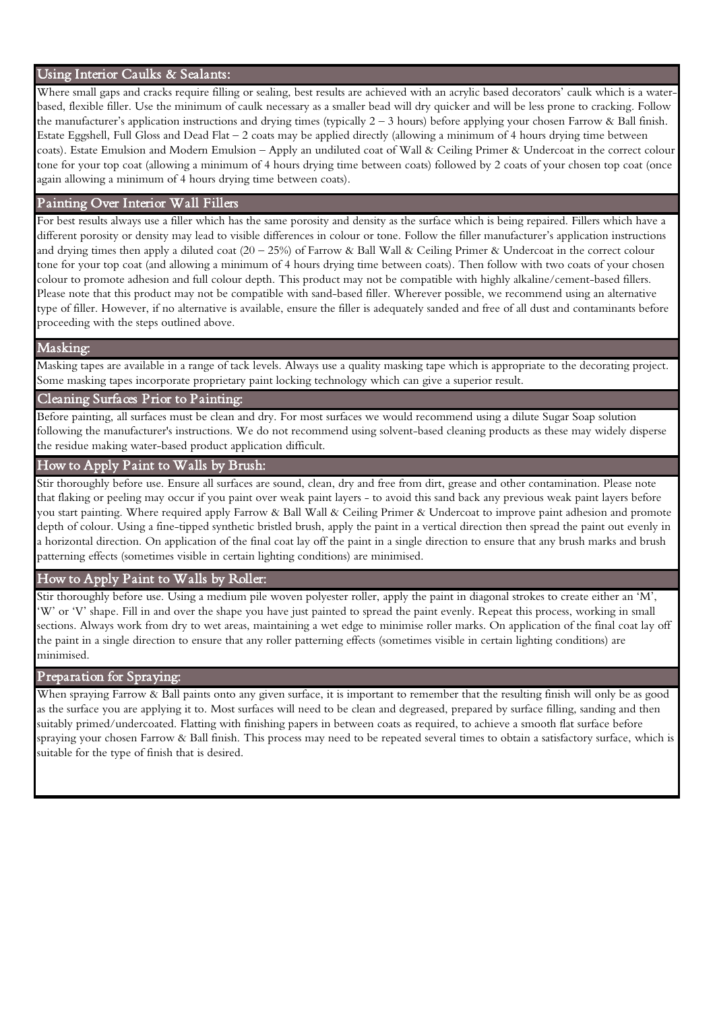#### Using Interior Caulks & Sealants:

Where small gaps and cracks require filling or sealing, best results are achieved with an acrylic based decorators' caulk which is a waterbased, flexible filler. Use the minimum of caulk necessary as a smaller bead will dry quicker and will be less prone to cracking. Follow the manufacturer's application instructions and drying times (typically 2 – 3 hours) before applying your chosen Farrow & Ball finish. Estate Eggshell, Full Gloss and Dead Flat – 2 coats may be applied directly (allowing a minimum of 4 hours drying time between coats). Estate Emulsion and Modern Emulsion – Apply an undiluted coat of Wall & Ceiling Primer & Undercoat in the correct colour tone for your top coat (allowing a minimum of 4 hours drying time between coats) followed by 2 coats of your chosen top coat (once again allowing a minimum of 4 hours drying time between coats).

#### Painting Over Interior Wall Fillers

For best results always use a filler which has the same porosity and density as the surface which is being repaired. Fillers which have a different porosity or density may lead to visible differences in colour or tone. Follow the filler manufacturer's application instructions and drying times then apply a diluted coat  $(20 - 25%)$  of Farrow & Ball Wall & Ceiling Primer & Undercoat in the correct colour tone for your top coat (and allowing a minimum of 4 hours drying time between coats). Then follow with two coats of your chosen colour to promote adhesion and full colour depth. This product may not be compatible with highly alkaline/cement-based fillers. Please note that this product may not be compatible with sand-based filler. Wherever possible, we recommend using an alternative type of filler. However, if no alternative is available, ensure the filler is adequately sanded and free of all dust and contaminants before proceeding with the steps outlined above.

#### Masking:

Masking tapes are available in a range of tack levels. Always use a quality masking tape which is appropriate to the decorating project. Some masking tapes incorporate proprietary paint locking technology which can give a superior result.

#### Cleaning Surfaces Prior to Painting:

Before painting, all surfaces must be clean and dry. For most surfaces we would recommend using a dilute Sugar Soap solution following the manufacturer's instructions. We do not recommend using solvent-based cleaning products as these may widely disperse the residue making water-based product application difficult.

#### How to Apply Paint to Walls by Brush:

Stir thoroughly before use. Ensure all surfaces are sound, clean, dry and free from dirt, grease and other contamination. Please note that flaking or peeling may occur if you paint over weak paint layers - to avoid this sand back any previous weak paint layers before you start painting. Where required apply Farrow & Ball Wall & Ceiling Primer & Undercoat to improve paint adhesion and promote depth of colour. Using a fine-tipped synthetic bristled brush, apply the paint in a vertical direction then spread the paint out evenly in a horizontal direction. On application of the final coat lay off the paint in a single direction to ensure that any brush marks and brush patterning effects (sometimes visible in certain lighting conditions) are minimised.

#### How to Apply Paint to Walls by Roller:

Stir thoroughly before use. Using a medium pile woven polyester roller, apply the paint in diagonal strokes to create either an 'M', 'W' or 'V' shape. Fill in and over the shape you have just painted to spread the paint evenly. Repeat this process, working in small sections. Always work from dry to wet areas, maintaining a wet edge to minimise roller marks. On application of the final coat lay off the paint in a single direction to ensure that any roller patterning effects (sometimes visible in certain lighting conditions) are minimised.

#### Preparation for Spraying:

When spraying Farrow & Ball paints onto any given surface, it is important to remember that the resulting finish will only be as good as the surface you are applying it to. Most surfaces will need to be clean and degreased, prepared by surface filling, sanding and then suitably primed/undercoated. Flatting with finishing papers in between coats as required, to achieve a smooth flat surface before spraying your chosen Farrow & Ball finish. This process may need to be repeated several times to obtain a satisfactory surface, which is suitable for the type of finish that is desired.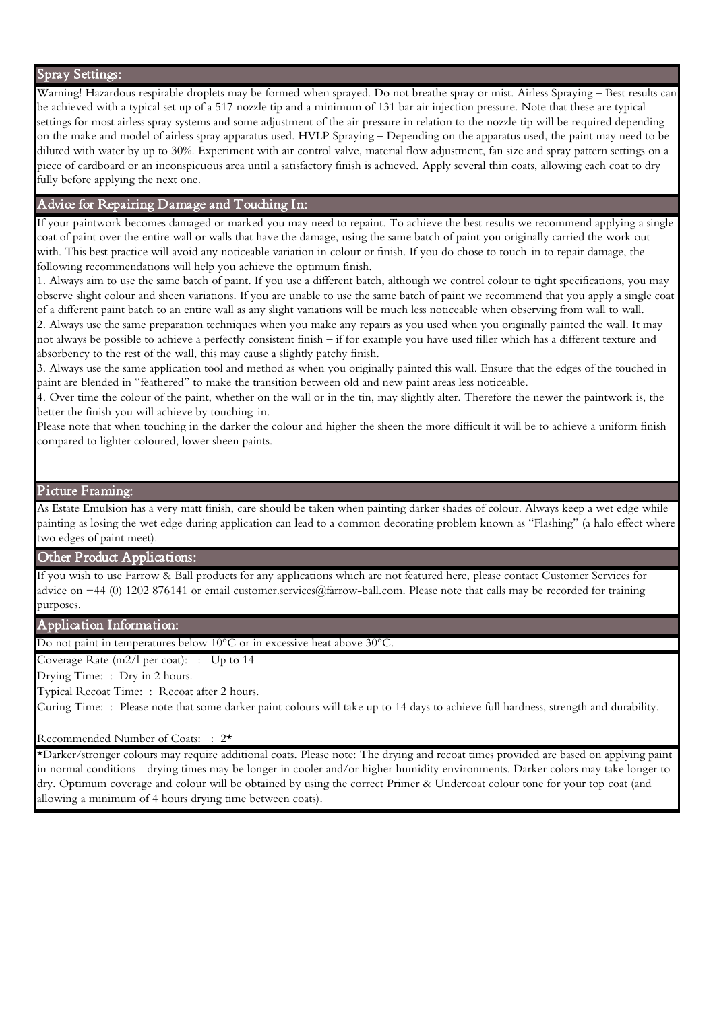#### Spray Settings:

Warning! Hazardous respirable droplets may be formed when sprayed. Do not breathe spray or mist. Airless Spraying – Best results can be achieved with a typical set up of a 517 nozzle tip and a minimum of 131 bar air injection pressure. Note that these are typical settings for most airless spray systems and some adjustment of the air pressure in relation to the nozzle tip will be required depending on the make and model of airless spray apparatus used. HVLP Spraying – Depending on the apparatus used, the paint may need to be diluted with water by up to 30%. Experiment with air control valve, material flow adjustment, fan size and spray pattern settings on a piece of cardboard or an inconspicuous area until a satisfactory finish is achieved. Apply several thin coats, allowing each coat to dry fully before applying the next one.

#### Advice for Repairing Damage and Touching In:

If your paintwork becomes damaged or marked you may need to repaint. To achieve the best results we recommend applying a single coat of paint over the entire wall or walls that have the damage, using the same batch of paint you originally carried the work out with. This best practice will avoid any noticeable variation in colour or finish. If you do chose to touch-in to repair damage, the following recommendations will help you achieve the optimum finish.

1. Always aim to use the same batch of paint. If you use a different batch, although we control colour to tight specifications, you may observe slight colour and sheen variations. If you are unable to use the same batch of paint we recommend that you apply a single coat of a different paint batch to an entire wall as any slight variations will be much less noticeable when observing from wall to wall. 2. Always use the same preparation techniques when you make any repairs as you used when you originally painted the wall. It may not always be possible to achieve a perfectly consistent finish – if for example you have used filler which has a different texture and

absorbency to the rest of the wall, this may cause a slightly patchy finish.

3. Always use the same application tool and method as when you originally painted this wall. Ensure that the edges of the touched in paint are blended in "feathered" to make the transition between old and new paint areas less noticeable.

4. Over time the colour of the paint, whether on the wall or in the tin, may slightly alter. Therefore the newer the paintwork is, the better the finish you will achieve by touching-in.

Please note that when touching in the darker the colour and higher the sheen the more difficult it will be to achieve a uniform finish compared to lighter coloured, lower sheen paints.

#### Picture Framing:

As Estate Emulsion has a very matt finish, care should be taken when painting darker shades of colour. Always keep a wet edge while painting as losing the wet edge during application can lead to a common decorating problem known as "Flashing" (a halo effect where two edges of paint meet).

#### Other Product Applications:

If you wish to use Farrow & Ball products for any applications which are not featured here, please contact Customer Services for advice on +44 (0) 1202 876141 or email customer.services@farrow-ball.com. Please note that calls may be recorded for training purposes.

#### Application Information:

Do not paint in temperatures below 10°C or in excessive heat above 30°C.

Coverage Rate (m2/l per coat): : Up to 14

Drying Time: : Dry in 2 hours.

Typical Recoat Time: : Recoat after 2 hours.

Curing Time: : Please note that some darker paint colours will take up to 14 days to achieve full hardness, strength and durability.

#### Recommended Number of Coats: : 2\*

\*Darker/stronger colours may require additional coats. Please note: The drying and recoat times provided are based on applying paint in normal conditions - drying times may be longer in cooler and/or higher humidity environments. Darker colors may take longer to dry. Optimum coverage and colour will be obtained by using the correct Primer & Undercoat colour tone for your top coat (and allowing a minimum of 4 hours drying time between coats).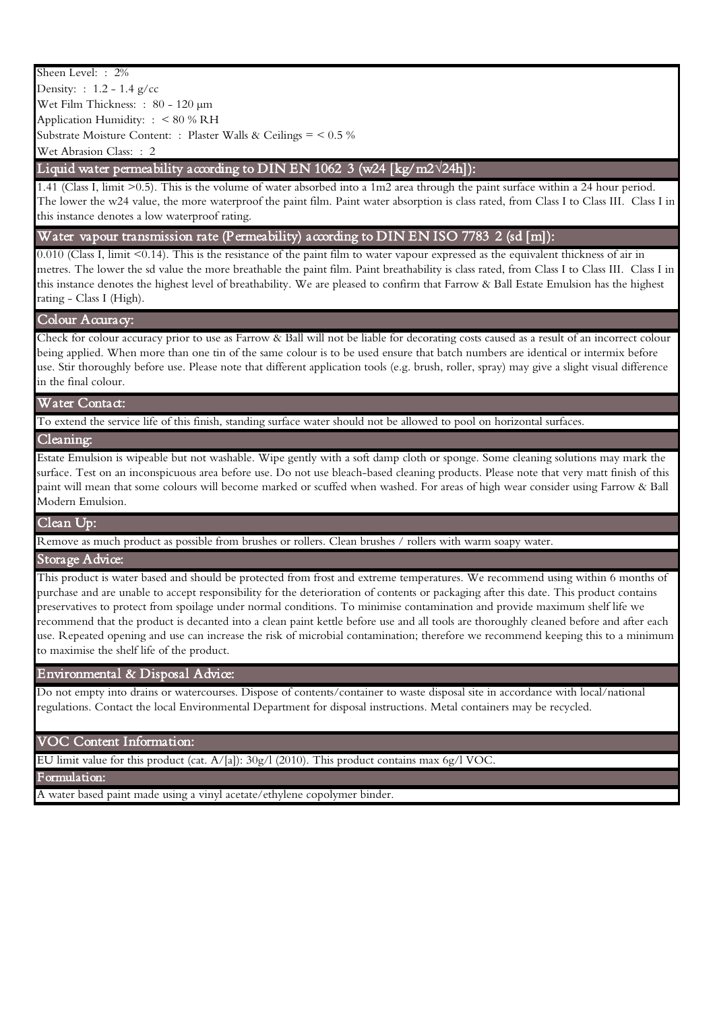#### Sheen Level: : 2%

 Density: : 1.2 - 1.4 g/cc Wet Film Thickness: : 80 - 120 µm Application Humidity: : < 80 % RH Substrate Moisture Content: : Plaster Walls & Ceilings = < 0.5 % Wet Abrasion Class: : 2

#### - Liquid water permeability according to DIN EN 1062 3 (w24 [kg/m2**√**24h]):

 The lower the w24 value, the more waterproof the paint film. Paint water absorption is class rated, from Class I to Class III. Class I in 1.41 (Class I, limit >0.5). This is the volume of water absorbed into a 1m2 area through the paint surface within a 24 hour period. this instance denotes a low waterproof rating.

#### Water vapour transmission rate (Permeability) according to DIN EN ISO 7783 2 (sd [m]):

 metres. The lower the sd value the more breathable the paint film. Paint breathability is class rated, from Class I to Class III. Class I in 0.010 (Class I, limit <0.14). This is the resistance of the paint film to water vapour expressed as the equivalent thickness of air in this instance denotes the highest level of breathability. We are pleased to confirm that Farrow & Ball Estate Emulsion has the highest rating - Class I (High).

#### Colour Accuracy:

Check for colour accuracy prior to use as Farrow & Ball will not be liable for decorating costs caused as a result of an incorrect colour being applied. When more than one tin of the same colour is to be used ensure that batch numbers are identical or intermix before use. Stir thoroughly before use. Please note that different application tools (e.g. brush, roller, spray) may give a slight visual difference in the final colour.

#### Water Contact:

To extend the service life of this finish, standing surface water should not be allowed to pool on horizontal surfaces.

#### Cleaning:

Estate Emulsion is wipeable but not washable. Wipe gently with a soft damp cloth or sponge. Some cleaning solutions may mark the surface. Test on an inconspicuous area before use. Do not use bleach-based cleaning products. Please note that very matt finish of this paint will mean that some colours will become marked or scuffed when washed. For areas of high wear consider using Farrow & Ball Modern Emulsion.

#### Clean Up:

Remove as much product as possible from brushes or rollers. Clean brushes / rollers with warm soapy water.

#### Storage Advice:

This product is water based and should be protected from frost and extreme temperatures. We recommend using within 6 months of purchase and are unable to accept responsibility for the deterioration of contents or packaging after this date. This product contains preservatives to protect from spoilage under normal conditions. To minimise contamination and provide maximum shelf life we recommend that the product is decanted into a clean paint kettle before use and all tools are thoroughly cleaned before and after each use. Repeated opening and use can increase the risk of microbial contamination; therefore we recommend keeping this to a minimum to maximise the shelf life of the product.

#### Environmental & Disposal Advice:

Do not empty into drains or watercourses. Dispose of contents/container to waste disposal site in accordance with local/national regulations. Contact the local Environmental Department for disposal instructions. Metal containers may be recycled.

#### VOC Content Information:

EU limit value for this product (cat. A/[a]): 30g/l (2010). This product contains max 6g/l VOC.

Formulation:

A water based paint made using a vinyl acetate/ethylene copolymer binder.